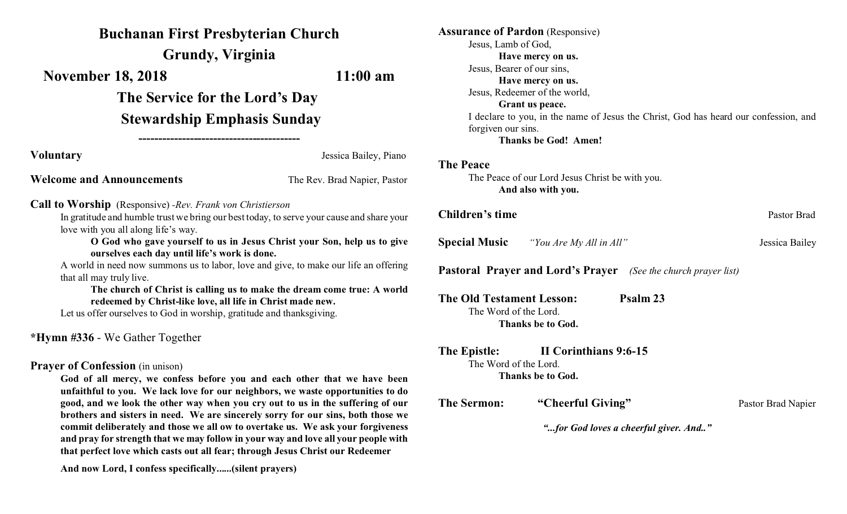# **Buchanan First Presbyterian Church**

**Grundy, Virginia**

**November 18, 2018** 11:00 am

**The Service for the Lord's Day Stewardship Emphasis Sunday**

**-----------------------------------------**

**Voluntary** Jessica Bailey, Piano

**Welcome and Announcements** The Rev. Brad Napier, Pastor

**Call to Worship** (Responsive) *-Rev. Frank von Christierson*

In gratitude and humble trust we bring our best today, to serve your cause and share your love with you all along life's way.

**O God who gave yourself to us in Jesus Christ your Son, help us to give ourselves each day until life's work is done.**

A world in need now summons us to labor, love and give, to make our life an offering that all may truly live.

**The church of Christ is calling us to make the dream come true: A world redeemed by Christ-like love, all life in Christ made new.**

Let us offer ourselves to God in worship, gratitude and thanksgiving.

**\*Hymn #336** - We Gather Together

## **Prayer of Confession** (in unison)

**God of all mercy, we confess before you and each other that we have been unfaithful to you. We lack love for our neighbors, we waste opportunities to do good, and we look the other way when you cry out to us in the suffering of our brothers and sisters in need. We are sincerely sorry for our sins, both those we commit deliberately and those we all ow to overtake us. We ask your forgiveness and pray for strength that we may follow in your way and love all your people with that perfect love which casts out all fear; through Jesus Christ our Redeemer**

**And now Lord, I confess specifically......(silent prayers)**

| <b>Assurance of Pardon</b> (Responsive)                                              |                                                                       |                    |
|--------------------------------------------------------------------------------------|-----------------------------------------------------------------------|--------------------|
| Jesus, Lamb of God,                                                                  |                                                                       |                    |
| Have mercy on us.                                                                    |                                                                       |                    |
| Jesus, Bearer of our sins,                                                           |                                                                       |                    |
| Have mercy on us.                                                                    |                                                                       |                    |
| Jesus, Redeemer of the world,                                                        |                                                                       |                    |
|                                                                                      | Grant us peace.                                                       |                    |
| I declare to you, in the name of Jesus the Christ, God has heard our confession, and |                                                                       |                    |
| forgiven our sins.                                                                   |                                                                       |                    |
|                                                                                      | <b>Thanks be God! Amen!</b>                                           |                    |
| <b>The Peace</b>                                                                     |                                                                       |                    |
|                                                                                      | The Peace of our Lord Jesus Christ be with you.                       |                    |
|                                                                                      | And also with you.                                                    |                    |
|                                                                                      |                                                                       |                    |
| Children's time                                                                      |                                                                       | Pastor Brad        |
| <b>Special Music</b>                                                                 | "You Are My All in All"                                               | Jessica Bailey     |
|                                                                                      | <b>Pastoral Prayer and Lord's Prayer</b> (See the church prayer list) |                    |
| <b>The Old Testament Lesson:</b>                                                     | Psalm 23                                                              |                    |
| The Word of the Lord.                                                                |                                                                       |                    |
|                                                                                      | <b>Thanks be to God.</b>                                              |                    |
| The Epistle:                                                                         | II Corinthians 9:6-15                                                 |                    |
| The Word of the Lord.                                                                |                                                                       |                    |
|                                                                                      | <b>Thanks be to God.</b>                                              |                    |
| <b>The Sermon:</b>                                                                   | "Cheerful Giving"                                                     | Pastor Brad Napier |
|                                                                                      |                                                                       |                    |
| "for God loves a cheerful giver. And"                                                |                                                                       |                    |
|                                                                                      |                                                                       |                    |
|                                                                                      |                                                                       |                    |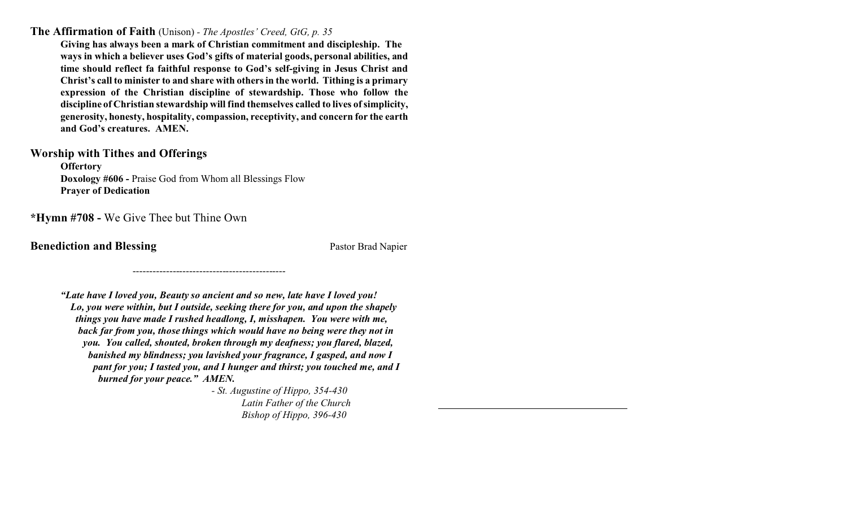**The Affirmation of Faith** (Unison) *- The Apostles' Creed, GtG, p. 35*

**Giving has always been a mark of Christian commitment and discipleship. The ways in which a believer uses God's gifts of material goods, personal abilities, and time should reflect fa faithful response to God's self-giving in Jesus Christ and Christ's call to minister to and share with others in the world. Tithing is a primary expression of the Christian discipline of stewardship. Those who follow the discipline of Christian stewardship will find themselves called to lives of simplicity, generosity, honesty, hospitality, compassion, receptivity, and concern for the earth and God's creatures. AMEN.** 

### **Worship with Tithes and Offerings**

**Offertory Doxology #606 -** Praise God from Whom all Blessings Flow **Prayer of Dedication**

**\*Hymn #708 -** We Give Thee but Thine Own

**Benediction and Blessing** Pastor Brad Napier

*"Late have I loved you, Beauty so ancient and so new, late have I loved you! Lo, you were within, but I outside, seeking there for you, and upon the shapely things you have made I rushed headlong, I, misshapen. You were with me, back far from you, those things which would have no being were they not in you. You called, shouted, broken through my deafness; you flared, blazed, banished my blindness; you lavished your fragrance, I gasped, and now I pant for you; I tasted you, and I hunger and thirst; you touched me, and I burned for your peace." AMEN.*

----------------------------------------------

*- St. Augustine of Hippo, 354-430 Latin Father of the Church Bishop of Hippo, 396-430*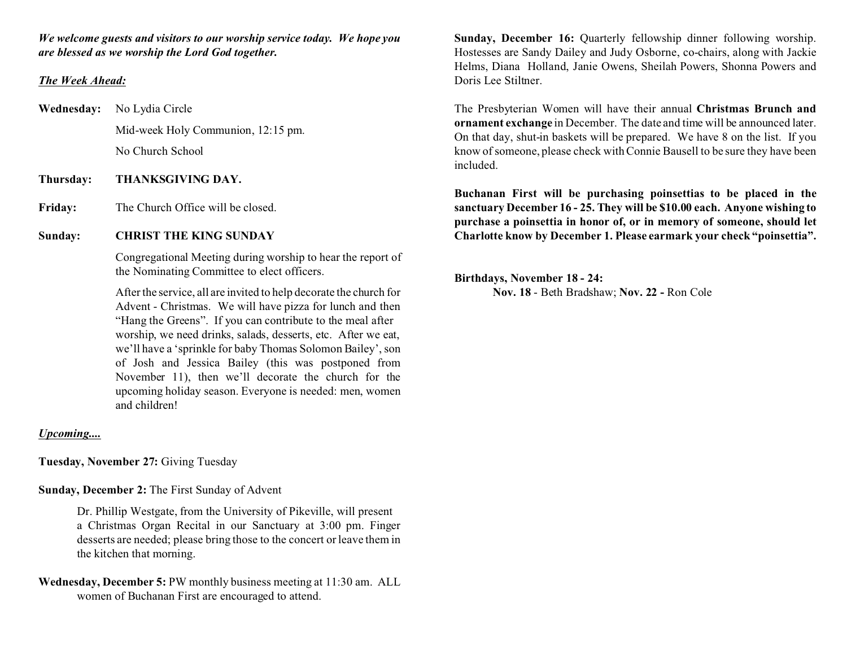*We welcome guests and visitors to our worship service today. We hope you are blessed as we worship the Lord God together.*

#### *The Week Ahead:*

**Wednesday:** No Lydia Circle Mid-week Holy Communion, 12:15 pm. No Church School

**Thursday: THANKSGIVING DAY.**

Friday: The Church Office will be closed.

#### **Sunday: CHRIST THE KING SUNDAY**

 Congregational Meeting during worship to hear the report of the Nominating Committee to elect officers.

After the service, all are invited to help decorate the church for Advent - Christmas. We will have pizza for lunch and then "Hang the Greens". If you can contribute to the meal after worship, we need drinks, salads, desserts, etc. After we eat, we'll have a 'sprinkle for baby Thomas Solomon Bailey', son of Josh and Jessica Bailey (this was postponed from November 11), then we'll decorate the church for the upcoming holiday season. Everyone is needed: men, women and children!

#### *Upcoming....*

**Tuesday, November 27:** Giving Tuesday

**Sunday, December 2:** The First Sunday of Advent

Dr. Phillip Westgate, from the University of Pikeville, will present a Christmas Organ Recital in our Sanctuary at 3:00 pm. Finger desserts are needed; please bring those to the concert or leave them in the kitchen that morning.

**Wednesday, December 5:** PW monthly business meeting at 11:30 am. ALL women of Buchanan First are encouraged to attend.

**Sunday, December 16:** Ouarterly fellowship dinner following worship. Hostesses are Sandy Dailey and Judy Osborne, co-chairs, along with Jackie Helms, Diana Holland, Janie Owens, Sheilah Powers, Shonna Powers and Doris Lee Stiltner.

The Presbyterian Women will have their annual **Christmas Brunch and ornament exchange** in December. The date and time will be announced later. On that day, shut-in baskets will be prepared. We have 8 on the list. If you know of someone, please check with Connie Bausell to be sure they have been included.

**Buchanan First will be purchasing poinsettias to be placed in the sanctuary December 16 - 25. They will be \$10.00 each. Anyone wishing to purchase a poinsettia in honor of, or in memory of someone, should let Charlotte know by December 1. Please earmark your check "poinsettia".**

**Birthdays, November 18 - 24: Nov. 18** - Beth Bradshaw; **Nov. 22 -** Ron Cole